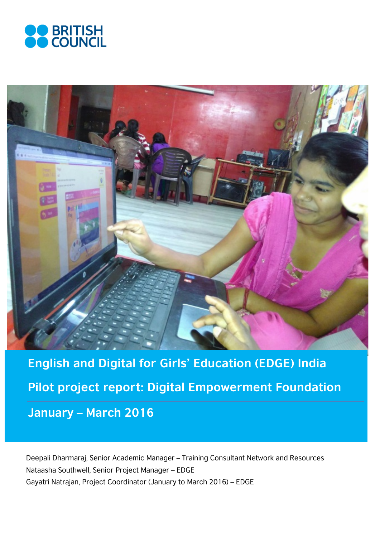



**English and Digital for Girls' Education (EDGE) India Pilot project report: Digital Empowerment Foundation January – March 2016**

Deepali Dharmaraj, Senior Academic Manager – Training Consultant Network and Resources Nataasha Southwell, Senior Project Manager – EDGE Gayatri Natrajan, Project Coordinator (January to March 2016) – EDGE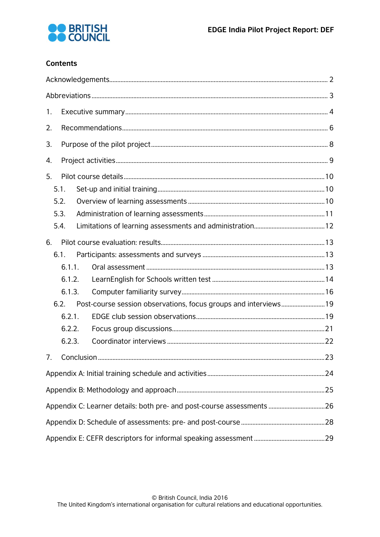

# **Contents**

| 1. |        |  |                                                                  |  |  |  |  |
|----|--------|--|------------------------------------------------------------------|--|--|--|--|
| 2. |        |  |                                                                  |  |  |  |  |
| 3. |        |  |                                                                  |  |  |  |  |
| 4. |        |  |                                                                  |  |  |  |  |
| 5. |        |  |                                                                  |  |  |  |  |
|    | 5.1.   |  |                                                                  |  |  |  |  |
|    | 5.2.   |  |                                                                  |  |  |  |  |
|    | 5.3.   |  |                                                                  |  |  |  |  |
|    | 5.4.   |  |                                                                  |  |  |  |  |
|    |        |  |                                                                  |  |  |  |  |
| 6. |        |  |                                                                  |  |  |  |  |
|    | 6.1.   |  |                                                                  |  |  |  |  |
|    | 6.1.1. |  |                                                                  |  |  |  |  |
|    | 6.1.2. |  |                                                                  |  |  |  |  |
|    | 6.1.3. |  |                                                                  |  |  |  |  |
|    | 6.2.   |  | Post-course session observations, focus groups and interviews 19 |  |  |  |  |
|    | 6.2.1. |  |                                                                  |  |  |  |  |
|    | 6.2.2. |  |                                                                  |  |  |  |  |
|    | 6.2.3. |  |                                                                  |  |  |  |  |
| 7. |        |  |                                                                  |  |  |  |  |
|    |        |  |                                                                  |  |  |  |  |
|    |        |  |                                                                  |  |  |  |  |
|    |        |  |                                                                  |  |  |  |  |
|    |        |  |                                                                  |  |  |  |  |
|    |        |  |                                                                  |  |  |  |  |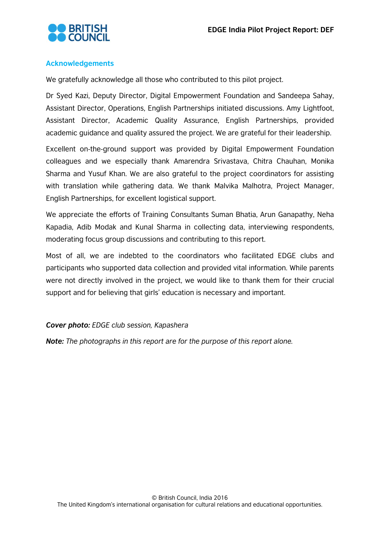

## <span id="page-2-0"></span>**Acknowledgements**

We gratefully acknowledge all those who contributed to this pilot project.

Dr Syed Kazi, Deputy Director, Digital Empowerment Foundation and Sandeepa Sahay, Assistant Director, Operations, English Partnerships initiated discussions. Amy Lightfoot, Assistant Director, Academic Quality Assurance, English Partnerships, provided academic guidance and quality assured the project. We are grateful for their leadership.

Excellent on-the-ground support was provided by Digital Empowerment Foundation colleagues and we especially thank Amarendra Srivastava, Chitra Chauhan, Monika Sharma and Yusuf Khan. We are also grateful to the project coordinators for assisting with translation while gathering data. We thank Malvika Malhotra, Project Manager, English Partnerships, for excellent logistical support.

We appreciate the efforts of Training Consultants Suman Bhatia, Arun Ganapathy, Neha Kapadia, Adib Modak and Kunal Sharma in collecting data, interviewing respondents, moderating focus group discussions and contributing to this report.

Most of all, we are indebted to the coordinators who facilitated EDGE clubs and participants who supported data collection and provided vital information. While parents were not directly involved in the project, we would like to thank them for their crucial support and for believing that girls' education is necessary and important.

#### *Cover photo: EDGE club session, Kapashera*

*Note: The photographs in this report are for the purpose of this report alone.*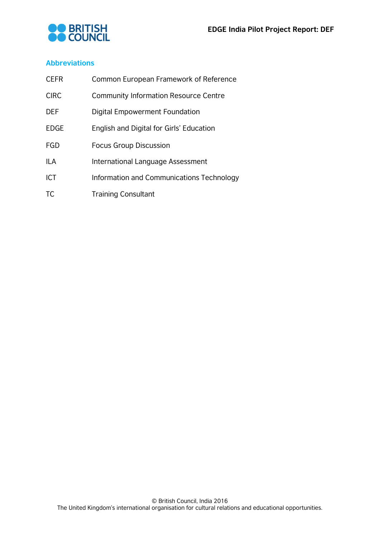

## <span id="page-3-0"></span>**Abbreviations**

| <b>CEFR</b> | Common European Framework of Reference       |
|-------------|----------------------------------------------|
| <b>CIRC</b> | <b>Community Information Resource Centre</b> |
| <b>DEF</b>  | Digital Empowerment Foundation               |
| <b>EDGE</b> | English and Digital for Girls' Education     |
| FGD         | <b>Focus Group Discussion</b>                |
| <b>ILA</b>  | International Language Assessment            |
| <b>ICT</b>  | Information and Communications Technology    |
| TC          | <b>Training Consultant</b>                   |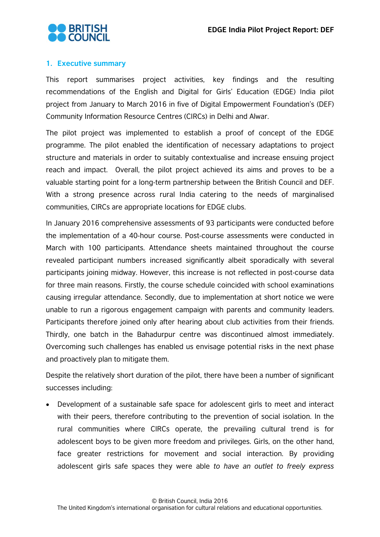

# <span id="page-4-0"></span>**1. Executive summary**

This report summarises project activities, key findings and the resulting recommendations of the English and Digital for Girls' Education (EDGE) India pilot project from January to March 2016 in five of Digital Empowerment Foundation's (DEF) Community Information Resource Centres (CIRCs) in Delhi and Alwar.

The pilot project was implemented to establish a proof of concept of the EDGE programme. The pilot enabled the identification of necessary adaptations to project structure and materials in order to suitably contextualise and increase ensuing project reach and impact. Overall, the pilot project achieved its aims and proves to be a valuable starting point for a long-term partnership between the British Council and DEF. With a strong presence across rural India catering to the needs of marginalised communities, CIRCs are appropriate locations for EDGE clubs.

In January 2016 comprehensive assessments of 93 participants were conducted before the implementation of a 40-hour course. Post-course assessments were conducted in March with 100 participants. Attendance sheets maintained throughout the course revealed participant numbers increased significantly albeit sporadically with several participants joining midway. However, this increase is not reflected in post-course data for three main reasons. Firstly, the course schedule coincided with school examinations causing irregular attendance. Secondly, due to implementation at short notice we were unable to run a rigorous engagement campaign with parents and community leaders. Participants therefore joined only after hearing about club activities from their friends. Thirdly, one batch in the Bahadurpur centre was discontinued almost immediately. Overcoming such challenges has enabled us envisage potential risks in the next phase and proactively plan to mitigate them.

Despite the relatively short duration of the pilot, there have been a number of significant successes including:

• Development of a sustainable safe space for adolescent girls to meet and interact with their peers, therefore contributing to the prevention of social isolation. In the rural communities where CIRCs operate, the prevailing cultural trend is for adolescent boys to be given more freedom and privileges. Girls, on the other hand, face greater restrictions for movement and social interaction. By providing adolescent girls safe spaces they were able *to have an outlet to freely express*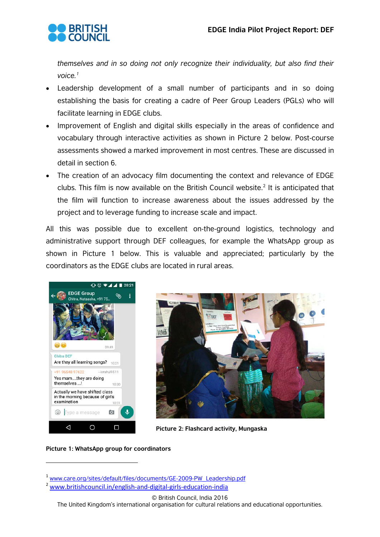

*themselves and in so doing not only recognize their individuality, but also find their voice.[1](#page-5-0)*

- Leadership development of a small number of participants and in so doing establishing the basis for creating a cadre of Peer Group Leaders (PGLs) who will facilitate learning in EDGE clubs.
- Improvement of English and digital skills especially in the areas of confidence and vocabulary through interactive activities as shown in Picture 2 below. Post-course assessments showed a marked improvement in most centres. These are discussed in detail in section 6.
- The creation of an advocacy film documenting the context and relevance of EDGE clubs. This film is now available on the British Council website.<sup>[2](#page-5-1)</sup> It is anticipated that the film will function to increase awareness about the issues addressed by the project and to leverage funding to increase scale and impact.

All this was possible due to excellent on-the-ground logistics, technology and administrative support through DEF colleagues, for example the WhatsApp group as shown in Picture 1 below. This is valuable and appreciated; particularly by the coordinators as the EDGE clubs are located in rural areas.





**Picture 2: Flashcard activity, Mungaska**

#### **Picture 1: WhatsApp group for coordinators**

 $\overline{a}$ 

© British Council, India 2016

<span id="page-5-1"></span><span id="page-5-0"></span><sup>1</sup> www.care.org/sites/default/files/documents/GE-2009-PW\_Leadership.pdf

<sup>2</sup> [www.britishcouncil.in/english-and-digital-girls-education-india](http://www.britishcouncil.in/english-and-digital-girls-education-india)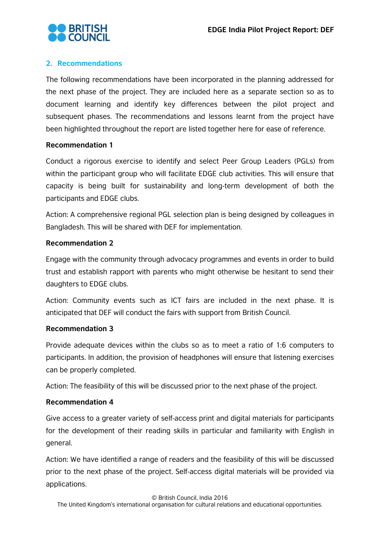

# <span id="page-6-0"></span>**2. Recommendations**

The following recommendations have been incorporated in the planning addressed for the next phase of the project. They are included here as a separate section so as to document learning and identify key differences between the pilot project and subsequent phases. The recommendations and lessons learnt from the project have been highlighted throughout the report are listed together here for ease of reference.

#### **Recommendation 1**

Conduct a rigorous exercise to identify and select Peer Group Leaders (PGLs) from within the participant group who will facilitate EDGE club activities. This will ensure that capacity is being built for sustainability and long-term development of both the participants and EDGE clubs.

Action: A comprehensive regional PGL selection plan is being designed by colleagues in Bangladesh. This will be shared with DEF for implementation.

#### **Recommendation 2**

Engage with the community through advocacy programmes and events in order to build trust and establish rapport with parents who might otherwise be hesitant to send their daughters to EDGE clubs.

Action: Community events such as ICT fairs are included in the next phase. It is anticipated that DEF will conduct the fairs with support from British Council.

#### **Recommendation 3**

Provide adequate devices within the clubs so as to meet a ratio of 1:6 computers to participants. In addition, the provision of headphones will ensure that listening exercises can be properly completed.

Action: The feasibility of this will be discussed prior to the next phase of the project.

#### **Recommendation 4**

Give access to a greater variety of self-access print and digital materials for participants for the development of their reading skills in particular and familiarity with English in general.

Action: We have identified a range of readers and the feasibility of this will be discussed prior to the next phase of the project. Self-access digital materials will be provided via applications.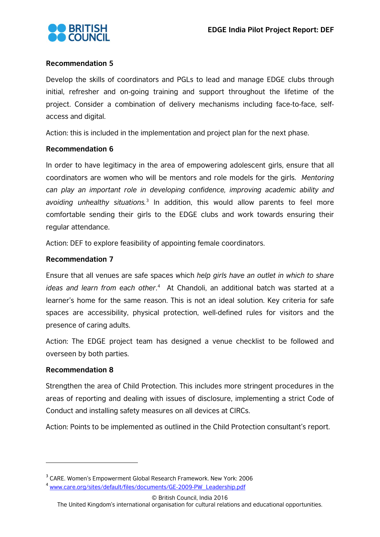

#### **Recommendation 5**

Develop the skills of coordinators and PGLs to lead and manage EDGE clubs through initial, refresher and on-going training and support throughout the lifetime of the project. Consider a combination of delivery mechanisms including face-to-face, selfaccess and digital.

Action: this is included in the implementation and project plan for the next phase.

#### **Recommendation 6**

In order to have legitimacy in the area of empowering adolescent girls, ensure that all coordinators are women who will be mentors and role models for the girls. *Mentoring can play an important role in developing confidence, improving academic ability and avoiding unhealthy situations.*[3](#page-7-0) In addition, this would allow parents to feel more comfortable sending their girls to the EDGE clubs and work towards ensuring their regular attendance.

Action: DEF to explore feasibility of appointing female coordinators.

# **Recommendation 7**

Ensure that all venues are safe spaces which *help girls have an outlet in which to share ideas and learn from each other*. [4](#page-7-1) At Chandoli, an additional batch was started at a learner's home for the same reason. This is not an ideal solution. Key criteria for safe spaces are accessibility, physical protection, well-defined rules for visitors and the presence of caring adults.

Action: The EDGE project team has designed a venue checklist to be followed and overseen by both parties.

#### **Recommendation 8**

 $\overline{a}$ 

Strengthen the area of Child Protection. This includes more stringent procedures in the areas of reporting and dealing with issues of disclosure, implementing a strict Code of Conduct and installing safety measures on all devices at CIRCs.

Action: Points to be implemented as outlined in the Child Protection consultant's report.

<span id="page-7-0"></span><sup>3</sup> CARE. Women's Empowerment Global Research Framework. New York: 2006

<span id="page-7-1"></span><sup>4</sup> www.care.org/sites/default/files/documents/GE-2009-PW\_Leadership.pdf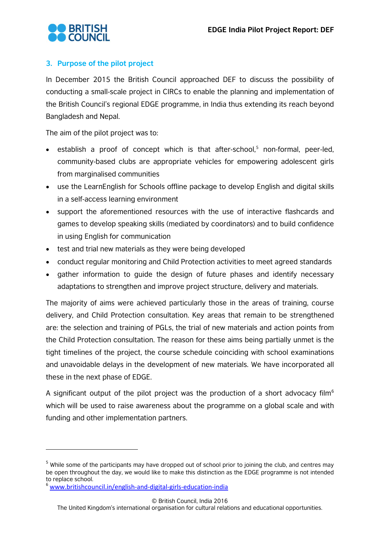

# <span id="page-8-0"></span>**3. Purpose of the pilot project**

In December 2015 the British Council approached DEF to discuss the possibility of conducting a small-scale project in CIRCs to enable the planning and implementation of the British Council's regional EDGE programme, in India thus extending its reach beyond Bangladesh and Nepal.

The aim of the pilot project was to:

- establish a proof of concept which is that after-school,<sup>[5](#page-8-1)</sup> non-formal, peer-led, community-based clubs are appropriate vehicles for empowering adolescent girls from marginalised communities
- use the LearnEnglish for Schools offline package to develop English and digital skills in a self-access learning environment
- support the aforementioned resources with the use of interactive flashcards and games to develop speaking skills (mediated by coordinators) and to build confidence in using English for communication
- test and trial new materials as they were being developed
- conduct regular monitoring and Child Protection activities to meet agreed standards
- gather information to guide the design of future phases and identify necessary adaptations to strengthen and improve project structure, delivery and materials.

The majority of aims were achieved particularly those in the areas of training, course delivery, and Child Protection consultation. Key areas that remain to be strengthened are: the selection and training of PGLs, the trial of new materials and action points from the Child Protection consultation. The reason for these aims being partially unmet is the tight timelines of the project, the course schedule coinciding with school examinations and unavoidable delays in the development of new materials. We have incorporated all these in the next phase of EDGE.

A significant output of the pilot project was the production of a short advocacy film<sup>[6](#page-8-2)</sup> which will be used to raise awareness about the programme on a global scale and with funding and other implementation partners.

 $\overline{a}$ 

<span id="page-8-1"></span><sup>&</sup>lt;sup>5</sup> While some of the participants may have dropped out of school prior to joining the club, and centres may be open throughout the day, we would like to make this distinction as the EDGE programme is not intended to replace school.

<span id="page-8-2"></span><sup>6</sup> [www.britishcouncil.in/english-and-digital-girls-education-india](http://www.britishcouncil.in/english-and-digital-girls-education-india)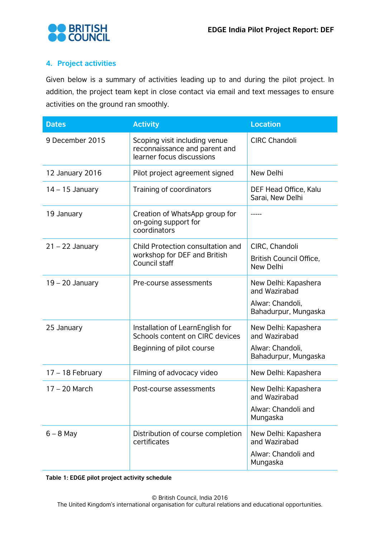

# <span id="page-9-0"></span>**4. Project activities**

Given below is a summary of activities leading up to and during the pilot project. In addition, the project team kept in close contact via email and text messages to ensure activities on the ground ran smoothly.

| <b>Dates</b>       | <b>Activity</b>                                                                             | <b>Location</b>                                                          |
|--------------------|---------------------------------------------------------------------------------------------|--------------------------------------------------------------------------|
| 9 December 2015    | Scoping visit including venue<br>reconnaissance and parent and<br>learner focus discussions | <b>CIRC Chandoli</b>                                                     |
| 12 January 2016    | Pilot project agreement signed                                                              | New Delhi                                                                |
| $14 - 15$ January  | Training of coordinators                                                                    | DEF Head Office, Kalu<br>Sarai, New Delhi                                |
| 19 January         | Creation of WhatsApp group for<br>on-going support for<br>coordinators                      |                                                                          |
| $21 - 22$ January  | Child Protection consultation and                                                           | CIRC, Chandoli                                                           |
|                    | workshop for DEF and British<br>Council staff                                               | British Council Office,<br>New Delhi                                     |
| $19 - 20$ January  | Pre-course assessments                                                                      | New Delhi: Kapashera<br>and Wazirabad                                    |
|                    |                                                                                             | Alwar: Chandoli,<br>Bahadurpur, Mungaska                                 |
| 25 January         | Installation of LearnEnglish for<br>Schools content on CIRC devices                         | New Delhi: Kapashera<br>and Wazirabad                                    |
|                    | Beginning of pilot course                                                                   | Alwar: Chandoli,<br>Bahadurpur, Mungaska                                 |
| $17 - 18$ February | Filming of advocacy video                                                                   | New Delhi: Kapashera                                                     |
| 17 - 20 March      | Post-course assessments                                                                     | New Delhi: Kapashera<br>and Wazirabad<br>Alwar: Chandoli and<br>Mungaska |
| $6 - 8$ May        | Distribution of course completion<br>certificates                                           | New Delhi: Kapashera<br>and Wazirabad<br>Alwar: Chandoli and<br>Mungaska |

**Table 1: EDGE pilot project activity schedule**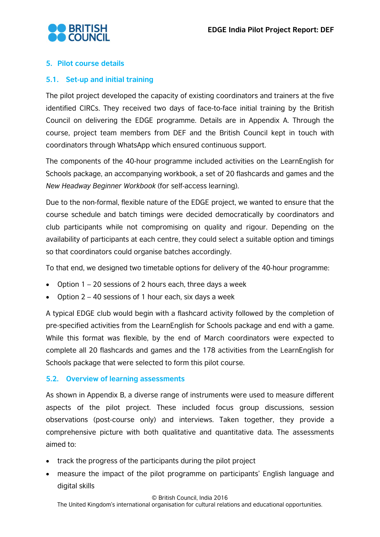

# <span id="page-10-0"></span>**5. Pilot course details**

# <span id="page-10-1"></span>**5.1. Set-up and initial training**

The pilot project developed the capacity of existing coordinators and trainers at the five identified CIRCs. They received two days of face-to-face initial training by the British Council on delivering the EDGE programme. Details are in Appendix A. Through the course, project team members from DEF and the British Council kept in touch with coordinators through WhatsApp which ensured continuous support.

The components of the 40-hour programme included activities on the LearnEnglish for Schools package, an accompanying workbook, a set of 20 flashcards and games and the *New Headway Beginner Workbook* (for self-access learning).

Due to the non-formal, flexible nature of the EDGE project, we wanted to ensure that the course schedule and batch timings were decided democratically by coordinators and club participants while not compromising on quality and rigour. Depending on the availability of participants at each centre, they could select a suitable option and timings so that coordinators could organise batches accordingly.

To that end, we designed two timetable options for delivery of the 40-hour programme:

- Option 1 20 sessions of 2 hours each, three days a week
- Option  $2 40$  sessions of 1 hour each, six days a week

A typical EDGE club would begin with a flashcard activity followed by the completion of pre-specified activities from the LearnEnglish for Schools package and end with a game. While this format was flexible, by the end of March coordinators were expected to complete all 20 flashcards and games and the 178 activities from the LearnEnglish for Schools package that were selected to form this pilot course.

#### <span id="page-10-2"></span>**5.2. Overview of learning assessments**

As shown in Appendix B, a diverse range of instruments were used to measure different aspects of the pilot project. These included focus group discussions, session observations (post-course only) and interviews. Taken together, they provide a comprehensive picture with both qualitative and quantitative data. The assessments aimed to:

- track the progress of the participants during the pilot project
- measure the impact of the pilot programme on participants' English language and digital skills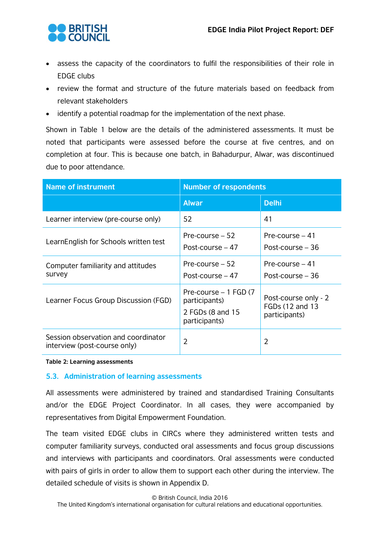

- assess the capacity of the coordinators to fulfil the responsibilities of their role in EDGE clubs
- review the format and structure of the future materials based on feedback from relevant stakeholders
- identify a potential roadmap for the implementation of the next phase.

Shown in Table 1 below are the details of the administered assessments. It must be noted that participants were assessed before the course at five centres, and on completion at four. This is because one batch, in Bahadurpur, Alwar, was discontinued due to poor attendance.

| <b>Name of instrument</b>                                           | <b>Number of respondents</b>                                                |                                                          |  |
|---------------------------------------------------------------------|-----------------------------------------------------------------------------|----------------------------------------------------------|--|
|                                                                     | <b>Alwar</b>                                                                | <b>Delhi</b>                                             |  |
| Learner interview (pre-course only)                                 | 52                                                                          | 41                                                       |  |
| LearnEnglish for Schools written test                               | Pre-course $-52$<br>Post-course $-47$                                       | Pre-course $-41$<br>Post-course – 36                     |  |
| Computer familiarity and attitudes<br>survey                        | Pre-course $-52$<br>Post-course $-47$                                       | Pre-course $-41$<br>Post-course $-36$                    |  |
| Learner Focus Group Discussion (FGD)                                | Pre-course - 1 FGD (7<br>participants)<br>2 FGDs (8 and 15<br>participants) | Post-course only - 2<br>FGDs (12 and 13<br>participants) |  |
| Session observation and coordinator<br>interview (post-course only) | $\overline{2}$                                                              | $\overline{2}$                                           |  |

**Table 2: Learning assessments**

#### <span id="page-11-0"></span>**5.3. Administration of learning assessments**

All assessments were administered by trained and standardised Training Consultants and/or the EDGE Project Coordinator. In all cases, they were accompanied by representatives from Digital Empowerment Foundation.

The team visited EDGE clubs in CIRCs where they administered written tests and computer familiarity surveys, conducted oral assessments and focus group discussions and interviews with participants and coordinators. Oral assessments were conducted with pairs of girls in order to allow them to support each other during the interview. The detailed schedule of visits is shown in Appendix D.

© British Council, India 2016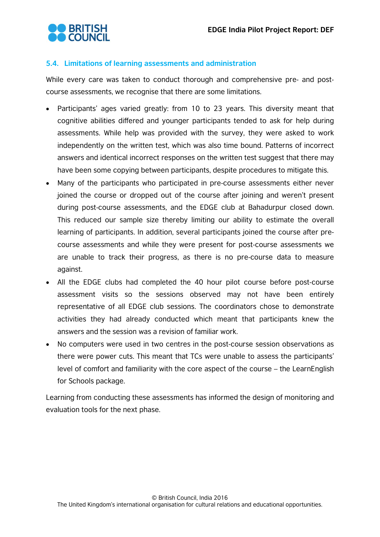

# <span id="page-12-0"></span>**5.4. Limitations of learning assessments and administration**

While every care was taken to conduct thorough and comprehensive pre- and postcourse assessments, we recognise that there are some limitations.

- Participants' ages varied greatly: from 10 to 23 years. This diversity meant that cognitive abilities differed and younger participants tended to ask for help during assessments. While help was provided with the survey, they were asked to work independently on the written test, which was also time bound. Patterns of incorrect answers and identical incorrect responses on the written test suggest that there may have been some copying between participants, despite procedures to mitigate this.
- Many of the participants who participated in pre-course assessments either never joined the course or dropped out of the course after joining and weren't present during post-course assessments, and the EDGE club at Bahadurpur closed down. This reduced our sample size thereby limiting our ability to estimate the overall learning of participants. In addition, several participants joined the course after precourse assessments and while they were present for post-course assessments we are unable to track their progress, as there is no pre-course data to measure against.
- All the EDGE clubs had completed the 40 hour pilot course before post-course assessment visits so the sessions observed may not have been entirely representative of all EDGE club sessions. The coordinators chose to demonstrate activities they had already conducted which meant that participants knew the answers and the session was a revision of familiar work.
- No computers were used in two centres in the post-course session observations as there were power cuts. This meant that TCs were unable to assess the participants' level of comfort and familiarity with the core aspect of the course – the LearnEnglish for Schools package.

Learning from conducting these assessments has informed the design of monitoring and evaluation tools for the next phase.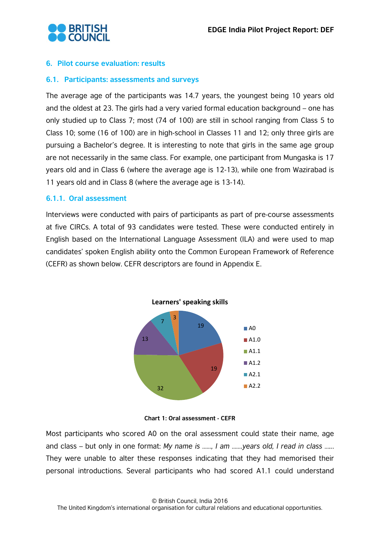

#### <span id="page-13-0"></span>**6. Pilot course evaluation: results**

#### <span id="page-13-1"></span>**6.1. Participants: assessments and surveys**

The average age of the participants was 14.7 years, the youngest being 10 years old and the oldest at 23. The girls had a very varied formal education background – one has only studied up to Class 7; most (74 of 100) are still in school ranging from Class 5 to Class 10; some (16 of 100) are in high-school in Classes 11 and 12; only three girls are pursuing a Bachelor's degree. It is interesting to note that girls in the same age group are not necessarily in the same class. For example, one participant from Mungaska is 17 years old and in Class 6 (where the average age is 12-13), while one from Wazirabad is 11 years old and in Class 8 (where the average age is 13-14).

#### <span id="page-13-2"></span>**6.1.1. Oral assessment**

Interviews were conducted with pairs of participants as part of pre-course assessments at five CIRCs. A total of 93 candidates were tested. These were conducted entirely in English based on the International Language Assessment (ILA) and were used to map candidates' spoken English ability onto the Common European Framework of Reference (CEFR) as shown below. CEFR descriptors are found in Appendix E.





Most participants who scored A0 on the oral assessment could state their name, age and class – but only in one format: *My name is ……, I am …….years old, I read in class …..*. They were unable to alter these responses indicating that they had memorised their personal introductions. Several participants who had scored A1.1 could understand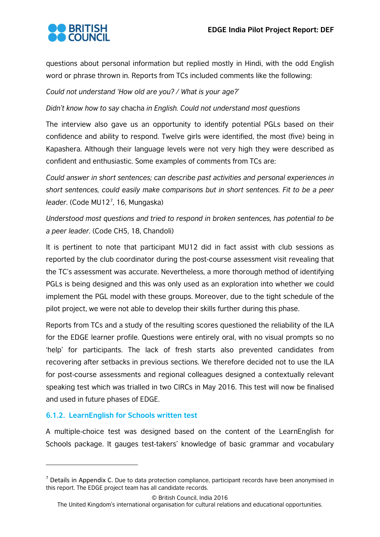

questions about personal information but replied mostly in Hindi, with the odd English word or phrase thrown in. Reports from TCs included comments like the following:

*Could not understand 'How old are you? / What is your age?'* 

*Didn't know how to say* chacha *in English. Could not understand most questions*

The interview also gave us an opportunity to identify potential PGLs based on their confidence and ability to respond. Twelve girls were identified, the most (five) being in Kapashera. Although their language levels were not very high they were described as confident and enthusiastic. Some examples of comments from TCs are:

*Could answer in short sentences; can describe past activities and personal experiences in short sentences, could easily make comparisons but in short sentences. Fit to be a peer leader.* (Code MU12[7](#page-14-1) , 16, Mungaska)

*Understood most questions and tried to respond in broken sentences, has potential to be a peer leader.* (Code CH5, 18, Chandoli)

It is pertinent to note that participant MU12 did in fact assist with club sessions as reported by the club coordinator during the post-course assessment visit revealing that the TC's assessment was accurate. Nevertheless, a more thorough method of identifying PGLs is being designed and this was only used as an exploration into whether we could implement the PGL model with these groups. Moreover, due to the tight schedule of the pilot project, we were not able to develop their skills further during this phase.

Reports from TCs and a study of the resulting scores questioned the reliability of the ILA for the EDGE learner profile. Questions were entirely oral, with no visual prompts so no 'help' for participants. The lack of fresh starts also prevented candidates from recovering after setbacks in previous sections. We therefore decided not to use the ILA for post-course assessments and regional colleagues designed a contextually relevant speaking test which was trialled in two CIRCs in May 2016. This test will now be finalised and used in future phases of EDGE.

#### <span id="page-14-0"></span>**6.1.2. LearnEnglish for Schools written test**

 $\overline{a}$ 

A multiple-choice test was designed based on the content of the LearnEnglish for Schools package. It gauges test-takers' knowledge of basic grammar and vocabulary

© British Council, India 2016

<span id="page-14-1"></span> $<sup>7</sup>$  Details in Appendix C. Due to data protection compliance, participant records have been anonymised in</sup> this report. The EDGE project team has all candidate records.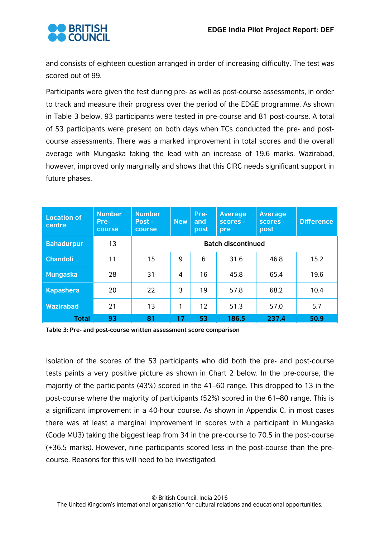

and consists of eighteen question arranged in order of increasing difficulty. The test was scored out of 99.

Participants were given the test during pre- as well as post-course assessments, in order to track and measure their progress over the period of the EDGE programme. As shown in Table 3 below, 93 participants were tested in pre-course and 81 post-course. A total of 53 participants were present on both days when TCs conducted the pre- and postcourse assessments. There was a marked improvement in total scores and the overall average with Mungaska taking the lead with an increase of 19.6 marks. Wazirabad, however, improved only marginally and shows that this CIRC needs significant support in future phases.

| <b>Location of</b><br>centre | <b>Number</b><br>Pre-<br>course | <b>Number</b><br>Post -<br>course | <b>New</b> | Pre-<br>and<br>post | <b>Average</b><br>scores -<br>pre | <b>Average</b><br>scores -<br>post | <b>Difference</b> |
|------------------------------|---------------------------------|-----------------------------------|------------|---------------------|-----------------------------------|------------------------------------|-------------------|
| <b>Bahadurpur</b>            | 13                              |                                   |            |                     | <b>Batch discontinued</b>         |                                    |                   |
| <b>Chandoli</b>              | 11                              | 15                                | 9          | 6                   | 31.6                              | 46.8                               | 15.2              |
| <b>Mungaska</b>              | 28                              | 31                                | 4          | 16                  | 45.8                              | 65.4                               | 19.6              |
| <b>Kapashera</b>             | 20                              | 22                                | 3          | 19                  | 57.8                              | 68.2                               | 10.4              |
| <b>Wazirabad</b>             | 21                              | 13                                |            | 12                  | 51.3                              | 57.0                               | 5.7               |
| <b>Total</b>                 | 93                              | 81                                | 17         | 53                  | 186.5                             | 237.4                              | 50.9              |

**Table 3: Pre- and post-course written assessment score comparison**

Isolation of the scores of the 53 participants who did both the pre- and post-course tests paints a very positive picture as shown in Chart 2 below. In the pre-course, the majority of the participants (43%) scored in the 41–60 range. This dropped to 13 in the post-course where the majority of participants (52%) scored in the 61–80 range. This is a significant improvement in a 40-hour course. As shown in Appendix C, in most cases there was at least a marginal improvement in scores with a participant in Mungaska (Code MU3) taking the biggest leap from 34 in the pre-course to 70.5 in the post-course (+36.5 marks). However, nine participants scored less in the post-course than the precourse. Reasons for this will need to be investigated.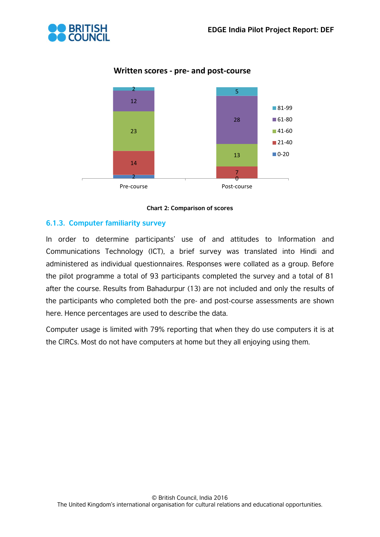



# **Written scores - pre- and post-course**



# <span id="page-16-0"></span>**6.1.3. Computer familiarity survey**

In order to determine participants' use of and attitudes to Information and Communications Technology (ICT), a brief survey was translated into Hindi and administered as individual questionnaires. Responses were collated as a group. Before the pilot programme a total of 93 participants completed the survey and a total of 81 after the course. Results from Bahadurpur (13) are not included and only the results of the participants who completed both the pre- and post-course assessments are shown here. Hence percentages are used to describe the data.

Computer usage is limited with 79% reporting that when they do use computers it is at the CIRCs. Most do not have computers at home but they all enjoying using them.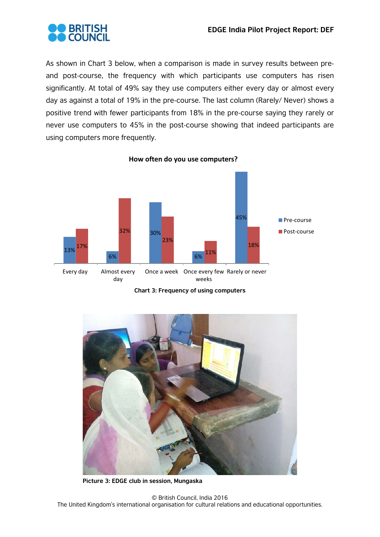

As shown in Chart 3 below, when a comparison is made in survey results between preand post-course, the frequency with which participants use computers has risen significantly. At total of 49% say they use computers either every day or almost every day as against a total of 19% in the pre-course. The last column (Rarely/ Never) shows a positive trend with fewer participants from 18% in the pre-course saying they rarely or never use computers to 45% in the post-course showing that indeed participants are using computers more frequently.



**Chart 3: Frequency of using computers**



**Picture 3: EDGE club in session, Mungaska**

© British Council, India 2016 The United Kingdom's international organisation for cultural relations and educational opportunities.

**How often do you use computers?**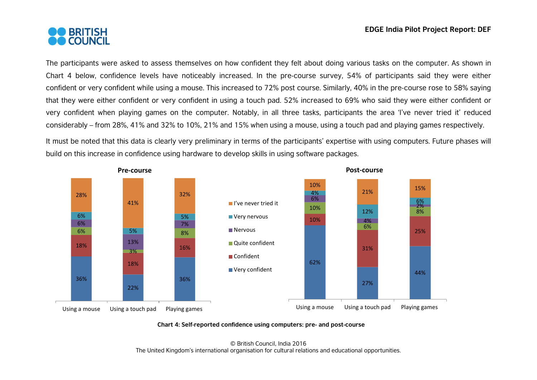

The participants were asked to assess themselves on how confident they felt about doing various tasks on the computer. As shown in Chart 4 below, confidence levels have noticeably increased. In the pre-course survey, 54% of participants said they were either confident or very confident while using a mouse. This increased to 72% post course. Similarly, 40% in the pre-course rose to 58% saying that they were either confident or very confident in using a touch pad. 52% increased to 69% who said they were either confident or very confident when playing games on the computer. Notably, in all three tasks, participants the area 'I've never tried it' reduced considerably – from 28%, 41% and 32% to 10%, 21% and 15% when using a mouse, using a touch pad and playing games respectively.

It must be noted that this data is clearly very preliminary in terms of the participants' expertise with using computers. Future phases will build on this increase in confidence using hardware to develop skills in using software packages.



#### **Chart 4: Self-reported confidence using computers: pre- and post-course**

© British Council, India 2016 The United Kingdom's international organisation for cultural relations and educational opportunities.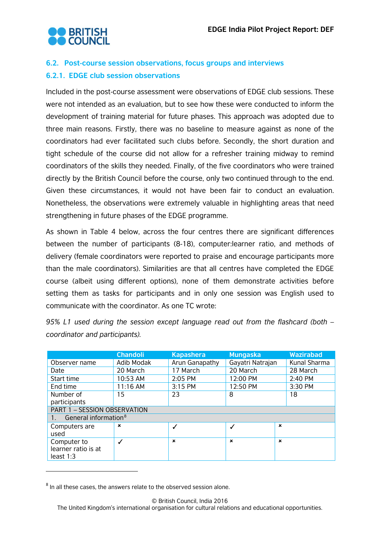

# <span id="page-19-1"></span><span id="page-19-0"></span>**6.2. Post-course session observations, focus groups and interviews 6.2.1. EDGE club session observations**

Included in the post-course assessment were observations of EDGE club sessions. These were not intended as an evaluation, but to see how these were conducted to inform the development of training material for future phases. This approach was adopted due to three main reasons. Firstly, there was no baseline to measure against as none of the coordinators had ever facilitated such clubs before. Secondly, the short duration and tight schedule of the course did not allow for a refresher training midway to remind coordinators of the skills they needed. Finally, of the five coordinators who were trained directly by the British Council before the course, only two continued through to the end. Given these circumstances, it would not have been fair to conduct an evaluation. Nonetheless, the observations were extremely valuable in highlighting areas that need strengthening in future phases of the EDGE programme.

As shown in Table 4 below, across the four centres there are significant differences between the number of participants (8-18), computer:learner ratio, and methods of delivery (female coordinators were reported to praise and encourage participants more than the male coordinators). Similarities are that all centres have completed the EDGE course (albeit using different options), none of them demonstrate activities before setting them as tasks for participants and in only one session was English used to communicate with the coordinator. As one TC wrote:

*95% L1 used during the session except language read out from the flashcard (both – coordinator and participants).* 

|                                    | <b>Chandoli</b> | <b>Kapashera</b> | <b>Mungaska</b>  | <b>Wazirabad</b> |
|------------------------------------|-----------------|------------------|------------------|------------------|
| Observer name                      | Adib Modak      | Arun Ganapathy   | Gayatri Natrajan | Kunal Sharma     |
| Date                               | 20 March        | 17 March         | 20 March         | 28 March         |
| Start time                         | 10:53 AM        | 2:05 PM          | 12:00 PM         | 2:40 PM          |
| End time                           | 11:16 AM        | 3:15 PM          | 12:50 PM         | 3:30 PM          |
| Number of                          | 15 <sub>1</sub> | 23               | 8                | 18               |
| participants                       |                 |                  |                  |                  |
| PART 1 - SESSION OBSERVATION       |                 |                  |                  |                  |
| General information <sup>8</sup>   |                 |                  |                  |                  |
| Computers are                      | $\mathbf x$     |                  | $\checkmark$     | $\mathbf x$      |
| used                               |                 |                  |                  |                  |
| Computer to                        |                 | $\mathbf x$      | $\mathbf x$      | $\mathbf x$      |
| learner ratio is at<br>least $1:3$ |                 |                  |                  |                  |
|                                    |                 |                  |                  |                  |

<span id="page-19-2"></span> $8$  In all these cases, the answers relate to the observed session alone.

 $\overline{a}$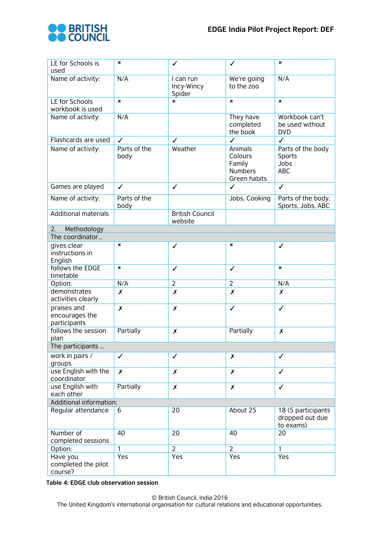

| LE for Schools is<br>used                     | $\boldsymbol{\mathsf{x}}$ | ✓                                 | ✓                                                              | $\pmb{\times}$                                     |
|-----------------------------------------------|---------------------------|-----------------------------------|----------------------------------------------------------------|----------------------------------------------------|
| Name of activity:                             | N/A                       | I can run<br>Incy-Wincy<br>Spider | We're going<br>to the zoo                                      | N/A                                                |
| LE for Schools<br>workbook is used            | $\mathbf{x}$              | $\boldsymbol{\mathsf{x}}$         | $\boldsymbol{\mathsf{x}}$                                      | $\boldsymbol{\mathsf{x}}$                          |
| Name of activity:                             | N/A                       |                                   | They have<br>completed<br>the book                             | Workbook can't<br>be used without<br><b>DVD</b>    |
| Flashcards are used                           | $\checkmark$              | $\checkmark$                      | $\checkmark$                                                   | $\checkmark$                                       |
| Name of activity:                             | Parts of the<br>body      | Weather                           | Animals<br>Colours<br>Family<br><b>Numbers</b><br>Green habits | Parts of the body<br>Sports<br>Jobs<br><b>ABC</b>  |
| Games are played                              | $\checkmark$              | $\checkmark$                      | $\checkmark$                                                   | $\checkmark$                                       |
| Name of activity:                             | Parts of the<br>body      |                                   | Jobs, Cooking                                                  | Parts of the body,<br>Sports, Jobs, ABC            |
| <b>Additional materials</b>                   |                           | <b>British Council</b><br>website |                                                                |                                                    |
| 2.<br>Methodology                             |                           |                                   |                                                                |                                                    |
| The coordinator                               |                           |                                   |                                                                |                                                    |
| gives clear<br>instructions in<br>English     | $\boldsymbol{\mathsf{x}}$ | ✓                                 | ×                                                              | ✓                                                  |
| follows the EDGE<br>timetable                 | $\boldsymbol{\mathsf{x}}$ | ✓                                 | ✓                                                              | $\boldsymbol{\mathsf{x}}$                          |
| Option:                                       | N/A                       | $\overline{2}$                    | $\overline{2}$                                                 | N/A                                                |
| demonstrates<br>activities clearly            | X                         | X                                 | $\pmb{\times}$                                                 | $\pmb{\mathsf{x}}$                                 |
| praises and<br>encourages the<br>participants | X                         | X                                 | $\checkmark$                                                   | $\checkmark$                                       |
| follows the session<br>plan                   | Partially                 | Х                                 | Partially                                                      | X                                                  |
| The participants                              |                           |                                   |                                                                |                                                    |
| work in pairs /<br>groups                     | ✓                         | ✓                                 | X                                                              | ✓                                                  |
| use English with the<br>coordinator           | X                         | X                                 | $\boldsymbol{x}$                                               | $\checkmark$                                       |
| use English with<br>each other                | Partially                 | $\boldsymbol{x}$                  | $\pmb{\chi}$                                                   | $\checkmark$                                       |
| Additional information:                       |                           |                                   |                                                                |                                                    |
| Regular attendance                            | 6                         | 20                                | About 25                                                       | 18 (5 participants<br>dropped out due<br>to exams) |
| Number of<br>completed sessions               | 40                        | 20                                | 40                                                             | 20                                                 |
| Option:                                       | $\mathbf{1}$              | $\overline{2}$                    | $\overline{2}$                                                 | 1                                                  |
| Have you<br>completed the pilot<br>course?    | Yes                       | Yes                               | Yes                                                            | Yes                                                |

**Table 4: EDGE club observation session**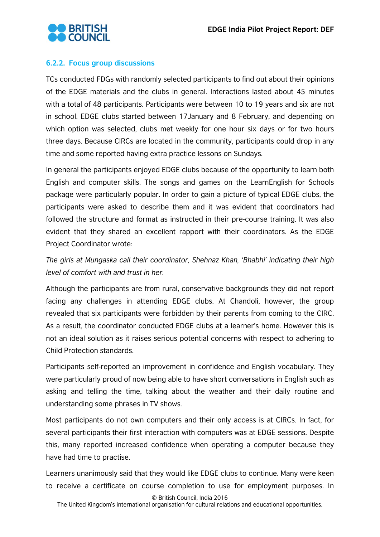

# <span id="page-21-0"></span>**6.2.2. Focus group discussions**

TCs conducted FDGs with randomly selected participants to find out about their opinions of the EDGE materials and the clubs in general. Interactions lasted about 45 minutes with a total of 48 participants. Participants were between 10 to 19 years and six are not in school. EDGE clubs started between 17January and 8 February, and depending on which option was selected, clubs met weekly for one hour six days or for two hours three days. Because CIRCs are located in the community, participants could drop in any time and some reported having extra practice lessons on Sundays.

In general the participants enjoyed EDGE clubs because of the opportunity to learn both English and computer skills. The songs and games on the LearnEnglish for Schools package were particularly popular. In order to gain a picture of typical EDGE clubs, the participants were asked to describe them and it was evident that coordinators had followed the structure and format as instructed in their pre-course training. It was also evident that they shared an excellent rapport with their coordinators. As the EDGE Project Coordinator wrote:

*The girls at Mungaska call their coordinator, Shehnaz Khan, 'Bhabhi' indicating their high level of comfort with and trust in her.* 

Although the participants are from rural, conservative backgrounds they did not report facing any challenges in attending EDGE clubs. At Chandoli, however, the group revealed that six participants were forbidden by their parents from coming to the CIRC. As a result, the coordinator conducted EDGE clubs at a learner's home. However this is not an ideal solution as it raises serious potential concerns with respect to adhering to Child Protection standards.

Participants self-reported an improvement in confidence and English vocabulary. They were particularly proud of now being able to have short conversations in English such as asking and telling the time, talking about the weather and their daily routine and understanding some phrases in TV shows.

Most participants do not own computers and their only access is at CIRCs. In fact, for several participants their first interaction with computers was at EDGE sessions. Despite this, many reported increased confidence when operating a computer because they have had time to practise.

Learners unanimously said that they would like EDGE clubs to continue. Many were keen to receive a certificate on course completion to use for employment purposes. In

© British Council, India 2016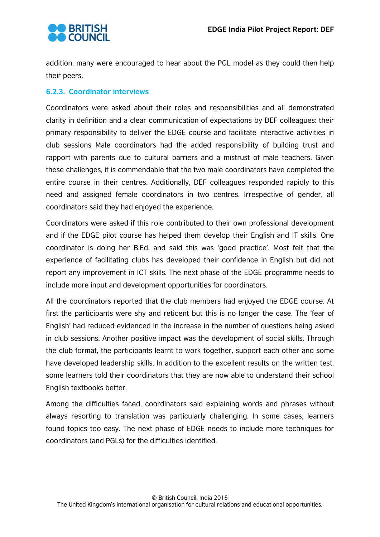

addition, many were encouraged to hear about the PGL model as they could then help their peers.

# <span id="page-22-0"></span>**6.2.3. Coordinator interviews**

Coordinators were asked about their roles and responsibilities and all demonstrated clarity in definition and a clear communication of expectations by DEF colleagues: their primary responsibility to deliver the EDGE course and facilitate interactive activities in club sessions Male coordinators had the added responsibility of building trust and rapport with parents due to cultural barriers and a mistrust of male teachers. Given these challenges, it is commendable that the two male coordinators have completed the entire course in their centres. Additionally, DEF colleagues responded rapidly to this need and assigned female coordinators in two centres. Irrespective of gender, all coordinators said they had enjoyed the experience.

Coordinators were asked if this role contributed to their own professional development and if the EDGE pilot course has helped them develop their English and IT skills. One coordinator is doing her B.Ed. and said this was 'good practice'. Most felt that the experience of facilitating clubs has developed their confidence in English but did not report any improvement in ICT skills. The next phase of the EDGE programme needs to include more input and development opportunities for coordinators.

All the coordinators reported that the club members had enjoyed the EDGE course. At first the participants were shy and reticent but this is no longer the case. The 'fear of English' had reduced evidenced in the increase in the number of questions being asked in club sessions. Another positive impact was the development of social skills. Through the club format, the participants learnt to work together, support each other and some have developed leadership skills. In addition to the excellent results on the written test, some learners told their coordinators that they are now able to understand their school English textbooks better.

Among the difficulties faced, coordinators said explaining words and phrases without always resorting to translation was particularly challenging. In some cases, learners found topics too easy. The next phase of EDGE needs to include more techniques for coordinators (and PGLs) for the difficulties identified.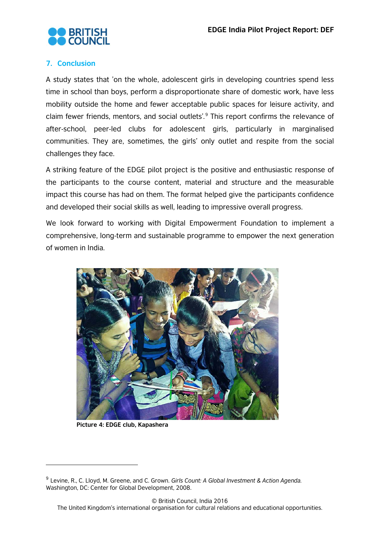

# <span id="page-23-0"></span>**7. Conclusion**

A study states that 'on the whole, adolescent girls in developing countries spend less time in school than boys, perform a disproportionate share of domestic work, have less mobility outside the home and fewer acceptable public spaces for leisure activity, and claim fewer friends, mentors, and social outlets'*.* [9](#page-23-1) This report confirms the relevance of after-school, peer-led clubs for adolescent girls, particularly in marginalised communities. They are, sometimes, the girls' only outlet and respite from the social challenges they face.

A striking feature of the EDGE pilot project is the positive and enthusiastic response of the participants to the course content, material and structure and the measurable impact this course has had on them. The format helped give the participants confidence and developed their social skills as well, leading to impressive overall progress.

We look forward to working with Digital Empowerment Foundation to implement a comprehensive, long-term and sustainable programme to empower the next generation of women in India.



**Picture 4: EDGE club, Kapashera**

 $\overline{a}$ 

<span id="page-23-1"></span><sup>9</sup> Levine, R., C. Lloyd, M. Greene, and C. Grown. *Girls Count: A Global Investment & Action Agenda.*  Washington, DC: Center for Global Development, 2008.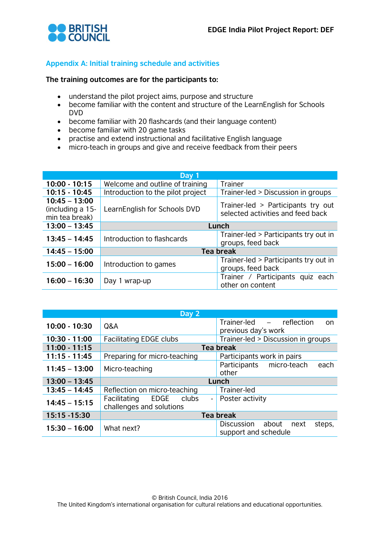

# <span id="page-24-0"></span>**Appendix A: Initial training schedule and activities**

#### **The training outcomes are for the participants to:**

- understand the pilot project aims, purpose and structure
- become familiar with the content and structure of the LearnEnglish for Schools DVD
- become familiar with 20 flashcards (and their language content)
- become familiar with 20 game tasks
- practise and extend instructional and facilitative English language
- micro-teach in groups and give and receive feedback from their peers

|                                                       | Day 1                             |                                                                         |  |
|-------------------------------------------------------|-----------------------------------|-------------------------------------------------------------------------|--|
| $10:00 - 10:15$                                       | Welcome and outline of training   | Trainer                                                                 |  |
| $10:15 - 10:45$                                       | Introduction to the pilot project | Trainer-led > Discussion in groups                                      |  |
| $10:45 - 13:00$<br>(including a 15-<br>min tea break) | LearnEnglish for Schools DVD      | Trainer-led > Participants try out<br>selected activities and feed back |  |
| $13:00 - 13:45$                                       | Lunch                             |                                                                         |  |
| $13:45 - 14:45$                                       | Introduction to flashcards        | Trainer-led > Participants try out in<br>groups, feed back              |  |
| $14:45 - 15:00$                                       |                                   | <b>Tea break</b>                                                        |  |
| $15:00 - 16:00$                                       | Introduction to games             | Trainer-led > Participants try out in<br>groups, feed back              |  |
| $16:00 - 16:30$                                       | Day 1 wrap-up                     | Trainer / Participants quiz each<br>other on content                    |  |

|                 | Day 2                                               |                                                               |
|-----------------|-----------------------------------------------------|---------------------------------------------------------------|
| 10:00 - 10:30   | Q&A                                                 | Trainer-led - reflection<br><b>on</b><br>previous day's work  |
| $10:30 - 11:00$ | <b>Facilitating EDGE clubs</b>                      | Trainer-led > Discussion in groups                            |
| $11:00 - 11:15$ |                                                     | <b>Tea break</b>                                              |
| $11:15 - 11:45$ | Preparing for micro-teaching                        | Participants work in pairs                                    |
| $11:45 - 13:00$ | Micro-teaching                                      | Participants micro-teach<br>each<br>other                     |
| $13:00 - 13:45$ |                                                     | Lunch                                                         |
| $13:45 - 14:45$ | Reflection on micro-teaching                        | Trainer-led                                                   |
| $14:45 - 15:15$ | Facilitating EDGE clubs<br>challenges and solutions | - Poster activity                                             |
| 15:15 - 15:30   |                                                     | <b>Tea break</b>                                              |
| $15:30 - 16:00$ | What next?                                          | Discussion<br>about<br>steps,<br>next<br>support and schedule |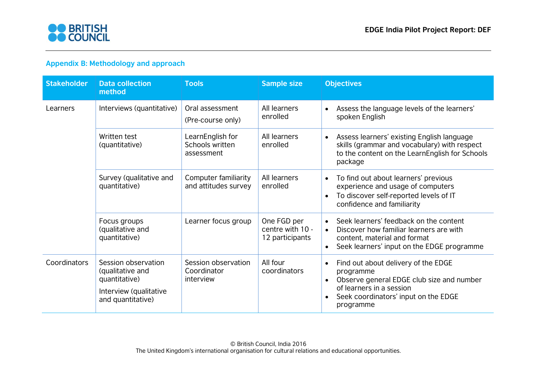

# **Appendix B: Methodology and approach**

<span id="page-25-0"></span>

| <b>Stakeholder</b> | <b>Data collection</b><br>method                                                                        | <b>Tools</b>                                      | <b>Sample size</b>                                 | <b>Objectives</b>                                                                                                                                                                           |  |  |
|--------------------|---------------------------------------------------------------------------------------------------------|---------------------------------------------------|----------------------------------------------------|---------------------------------------------------------------------------------------------------------------------------------------------------------------------------------------------|--|--|
| Learners           | Interviews (quantitative)                                                                               | Oral assessment<br>(Pre-course only)              | All learners<br>enrolled                           | Assess the language levels of the learners'<br>spoken English                                                                                                                               |  |  |
|                    | Written test<br>(quantitative)                                                                          | LearnEnglish for<br>Schools written<br>assessment | All learners<br>enrolled                           | Assess learners' existing English language<br>$\bullet$<br>skills (grammar and vocabulary) with respect<br>to the content on the LearnEnglish for Schools<br>package                        |  |  |
|                    | Survey (qualitative and<br>quantitative)                                                                | Computer familiarity<br>and attitudes survey      | All learners<br>enrolled                           | To find out about learners' previous<br>$\bullet$<br>experience and usage of computers<br>To discover self-reported levels of IT<br>confidence and familiarity                              |  |  |
|                    | Focus groups<br>(qualitative and<br>quantitative)                                                       | Learner focus group                               | One FGD per<br>centre with 10 -<br>12 participants | Seek learners' feedback on the content<br>Discover how familiar learners are with<br>$\bullet$<br>content, material and format<br>Seek learners' input on the EDGE programme                |  |  |
| Coordinators       | Session observation<br>(qualitative and<br>quantitative)<br>Interview (qualitative<br>and quantitative) | Session observation<br>Coordinator<br>interview   | All four<br>coordinators                           | Find out about delivery of the EDGE<br>$\bullet$<br>programme<br>Observe general EDGE club size and number<br>of learners in a session<br>Seek coordinators' input on the EDGE<br>programme |  |  |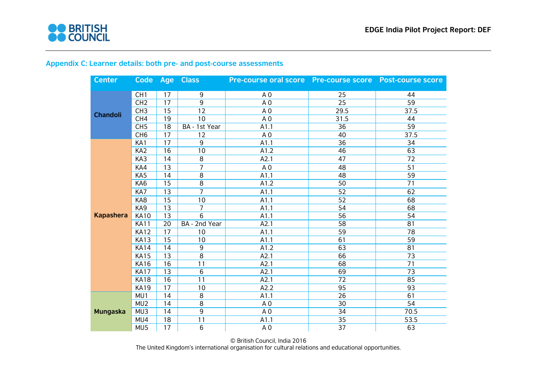

<span id="page-26-0"></span>

| <b>Center</b>    |                 |    | Code Age Class  | Pre-course oral score Pre-course score Post-course score |                 |                 |
|------------------|-----------------|----|-----------------|----------------------------------------------------------|-----------------|-----------------|
|                  | CH <sub>1</sub> | 17 | 9               | A <sub>0</sub>                                           | 25              | 44              |
| <b>Chandoli</b>  | CH <sub>2</sub> | 17 | $\overline{9}$  | A <sub>0</sub>                                           | 25              | 59              |
|                  | CH <sub>3</sub> | 15 | $\overline{12}$ | A <sub>0</sub>                                           | 29.5            | 37.5            |
|                  | CH <sub>4</sub> | 19 | 10              | A <sub>0</sub>                                           | 31.5            | 44              |
|                  | CH <sub>5</sub> | 18 | BA - 1st Year   | A1.1                                                     | 36              | 59              |
|                  | CH <sub>6</sub> | 17 | 12              | A <sub>0</sub>                                           | 40              | 37.5            |
|                  | KA1             | 17 | 9               | A1.1                                                     | 36              | 34              |
|                  | KA <sub>2</sub> | 16 | 10              | A1.2                                                     | 46              | 63              |
|                  | KA3             | 14 | 8               | A2.1                                                     | 47              | 72              |
|                  | KA4             | 13 | $\overline{7}$  | A <sub>0</sub>                                           | 48              | 51              |
|                  | KA5             | 14 | $\overline{8}$  | A1.1                                                     | 48              | 59              |
|                  | KA6             | 15 | $\overline{8}$  | A1.2                                                     | 50              | 71              |
|                  | KA7             | 13 | $\overline{7}$  | A1.1                                                     | 52              | 62              |
|                  | KA8             | 15 | 10              | A1.1                                                     | 52              | 68              |
|                  | KA9             | 13 | $\overline{7}$  | A1.1                                                     | 54              | 68              |
| <b>Kapashera</b> | <b>KA10</b>     | 13 | 6               | A1.1                                                     | 56              | 54              |
|                  | <b>KA11</b>     | 20 | BA - 2nd Year   | A2.1                                                     | 58              | 81              |
|                  | <b>KA12</b>     | 17 | 10              | A1.1                                                     | 59              | $\overline{78}$ |
|                  | <b>KA13</b>     | 15 | 10              | A1.1                                                     | 61              | 59              |
|                  | <b>KA14</b>     | 14 | 9               | A1.2                                                     | 63              | 81              |
|                  | <b>KA15</b>     | 13 | 8               | A2.1                                                     | 66              | 73              |
|                  | <b>KA16</b>     | 16 | 11              | A2.1                                                     | 68              | 71              |
|                  | <b>KA17</b>     | 13 | $\overline{6}$  | A2.1                                                     | 69              | $\overline{73}$ |
|                  | <b>KA18</b>     | 16 | 11              | A2.1                                                     | 72              | 85              |
|                  | <b>KA19</b>     | 17 | 10              | A2.2                                                     | 95              | 93              |
|                  | MU1             | 14 | $\overline{8}$  | A1.1                                                     | 26              | 61              |
|                  | MU <sub>2</sub> | 14 | 8               | A <sub>0</sub>                                           | 30              | 54              |
| <b>Mungaska</b>  | MU3             | 14 | 9               | A <sub>0</sub>                                           | 34              | 70.5            |
|                  | MU4             | 18 | 11              | A1.1                                                     | 35              | 53.5            |
|                  | MU5             | 17 | 6               | A <sub>0</sub>                                           | $\overline{37}$ | 63              |

# **Appendix C: Learner details: both pre- and post-course assessments**

© British Council, India 2016 The United Kingdom's international organisation for cultural relations and educational opportunities.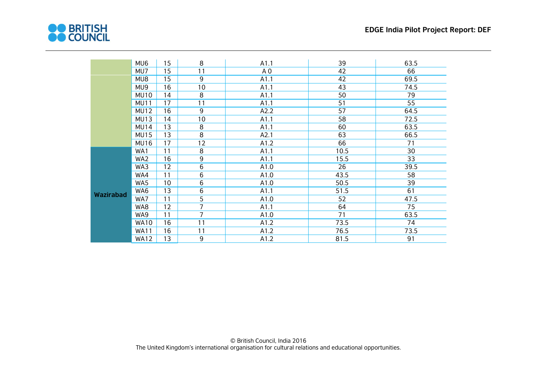

|                  | MU6         | 15 | 8              | A1.1           | 39   | 63.5 |
|------------------|-------------|----|----------------|----------------|------|------|
|                  | MU7         | 15 | 11             | A <sub>0</sub> | 42   | 66   |
|                  | MU8         | 15 | 9              | A1.1           | 42   | 69.5 |
|                  | MU9         | 16 | 10             | A1.1           | 43   | 74.5 |
|                  | <b>MU10</b> | 14 | 8              | A1.1           | 50   | 79   |
|                  | <b>MU11</b> | 17 | 11             | A1.1           | 51   | 55   |
|                  | <b>MU12</b> | 16 | 9              | A2.2           | 57   | 64.5 |
|                  | MU13        | 14 | 10             | A1.1           | 58   | 72.5 |
|                  | <b>MU14</b> | 13 | 8              | A1.1           | 60   | 63.5 |
|                  | <b>MU15</b> | 13 | 8              | A2.1           | 63   | 66.5 |
|                  | <b>MU16</b> | 17 | 12             | A1.2           | 66   | 71   |
|                  | WA1         | 11 | 8              | A1.1           | 10.5 | 30   |
|                  | WA2         | 16 | 9              | A1.1           | 15.5 | 33   |
|                  | WA3         | 12 | $\,6\,$        | A1.0           | 26   | 39.5 |
|                  | WA4         | 11 | 6              | A1.0           | 43.5 | 58   |
|                  | WA5         | 10 | $\,6$          | A1.0           | 50.5 | 39   |
| <b>Wazirabad</b> | WA6         | 13 | $\,6$          | A1.1           | 51.5 | 61   |
|                  | WA7         | 11 | 5              | A1.0           | 52   | 47.5 |
|                  | WA8         | 12 | 7              | A1.1           | 64   | 75   |
|                  | WA9         | 11 | $\overline{7}$ | A1.0           | 71   | 63.5 |
|                  | <b>WA10</b> | 16 | 11             | A1.2           | 73.5 | 74   |
|                  | <b>WA11</b> | 16 | 11             | A1.2           | 76.5 | 73.5 |
|                  | <b>WA12</b> | 13 | 9              | A1.2           | 81.5 | 91   |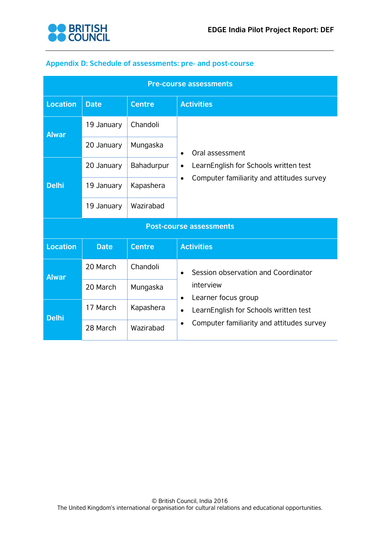

# <span id="page-28-0"></span>**Appendix D: Schedule of assessments: pre- and post-course**

| <b>Pre-course assessments</b>  |             |               |                                                                                                                                                                                         |  |  |
|--------------------------------|-------------|---------------|-----------------------------------------------------------------------------------------------------------------------------------------------------------------------------------------|--|--|
| <b>Location</b>                | <b>Date</b> | <b>Centre</b> | <b>Activities</b>                                                                                                                                                                       |  |  |
| <b>Alwar</b>                   | 19 January  | Chandoli      | Oral assessment<br>$\bullet$<br>LearnEnglish for Schools written test<br>$\bullet$<br>Computer familiarity and attitudes survey<br>$\bullet$                                            |  |  |
|                                | 20 January  | Mungaska      |                                                                                                                                                                                         |  |  |
| <b>Delhi</b>                   | 20 January  | Bahadurpur    |                                                                                                                                                                                         |  |  |
|                                | 19 January  | Kapashera     |                                                                                                                                                                                         |  |  |
|                                | 19 January  | Wazirabad     |                                                                                                                                                                                         |  |  |
| <b>Post-course assessments</b> |             |               |                                                                                                                                                                                         |  |  |
| <b>Location</b>                | <b>Date</b> | <b>Centre</b> | <b>Activities</b>                                                                                                                                                                       |  |  |
| <b>Alwar</b>                   | 20 March    | Chandoli      | Session observation and Coordinator<br>interview<br>Learner focus group<br>$\bullet$<br>LearnEnglish for Schools written test<br>$\bullet$<br>Computer familiarity and attitudes survey |  |  |
|                                | 20 March    | Mungaska      |                                                                                                                                                                                         |  |  |
| <b>Delhi</b>                   | 17 March    | Kapashera     |                                                                                                                                                                                         |  |  |
|                                | 28 March    | Wazirabad     |                                                                                                                                                                                         |  |  |